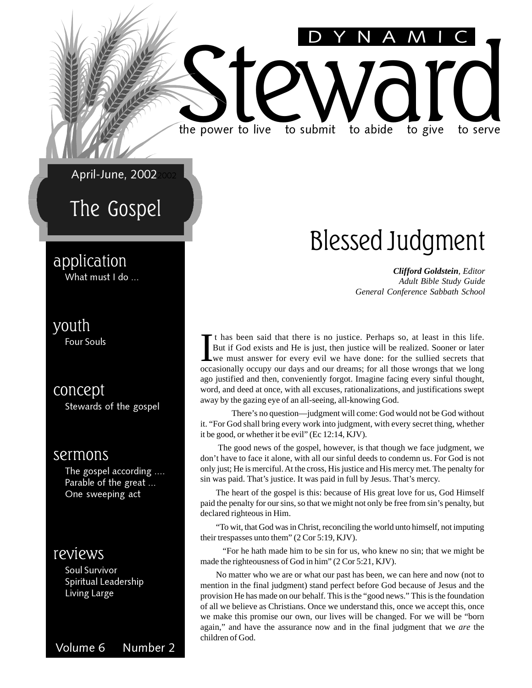April-June, 2002

### The Gospel

#### application

What must I do ...

#### youth

Four Souls

concept Stewards of the gospel

#### sermons

The gospel according .... Parable of the great ... One sweeping act

#### reviews

Soul Survivor Spiritual Leadership Living Large

Volume 6 Number 2

### Blessed Judgment

DYNAMIC

*Clifford Goldstein, Editor Adult Bible Study Guide General Conference Sabbath School*

It has been said that there is no justice. Perhaps so, at least in this life.<br>But if God exists and He is just, then justice will be realized. Sooner or later<br>we must answer for every evil we have done: for the sullied sec t has been said that there is no justice. Perhaps so, at least in this life. But if God exists and He is just, then justice will be realized. Sooner or later we must answer for every evil we have done: for the sullied secrets that ago justified and then, conveniently forgot. Imagine facing every sinful thought, word, and deed at once, with all excuses, rationalizations, and justifications swept away by the gazing eye of an all-seeing, all-knowing God.

Steward live to submit to abide to give to serve

the power to live to submit to abide to give to serve

There's no question—judgment will come: God would not be God without it. "For God shall bring every work into judgment, with every secret thing, whether it be good, or whether it be evil" (Ec 12:14, KJV).

 The good news of the gospel, however, is that though we face judgment, we don't have to face it alone, with all our sinful deeds to condemn us. For God is not only just; He is merciful. At the cross, His justice and His mercy met. The penalty for sin was paid. That's justice. It was paid in full by Jesus. That's mercy.

The heart of the gospel is this: because of His great love for us, God Himself paid the penalty for our sins, so that we might not only be free from sin's penalty, but declared righteous in Him.

"To wit, that God was in Christ, reconciling the world unto himself, not imputing their trespasses unto them" (2 Cor 5:19, KJV).

 "For he hath made him to be sin for us, who knew no sin; that we might be made the righteousness of God in him" (2 Cor 5:21, KJV).

No matter who we are or what our past has been, we can here and now (not to mention in the final judgment) stand perfect before God because of Jesus and the provision He has made on our behalf. This is the "good news." This is the foundation of all we believe as Christians. Once we understand this, once we accept this, once we make this promise our own, our lives will be changed. For we will be "born again," and have the assurance now and in the final judgment that we *are* the children of God.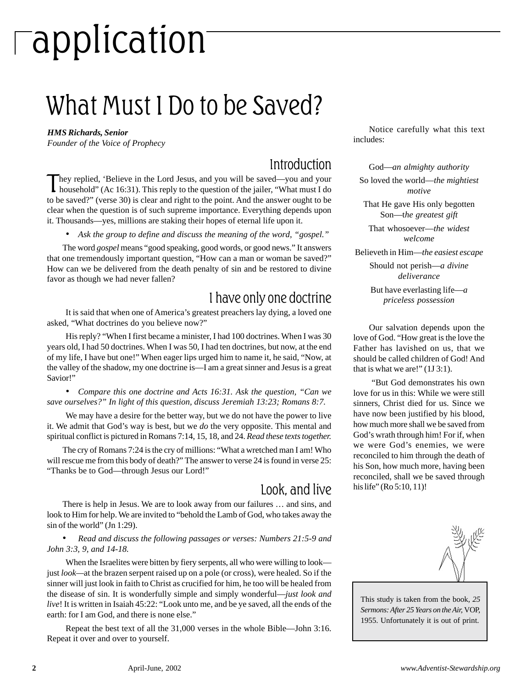# application

### What Must I Do to be Saved?

#### *HMS Richards, Senior*

*Founder of the Voice of Prophecy*

#### Introduction

They replied, 'Believe in the Lord Jesus, and you will be saved—you and your household" (Ac 16:31). This reply to the question of the jailer, "What must I do to be saved?" (verse 30) is clear and right to the point. And the answer ought to be clear when the question is of such supreme importance. Everything depends upon it. Thousands—yes, millions are staking their hopes of eternal life upon it.

*• Ask the group to define and discuss the meaning of the word, "gospel."*

The word *gospel* means "good speaking, good words, or good news." It answers that one tremendously important question, "How can a man or woman be saved?" How can we be delivered from the death penalty of sin and be restored to divine favor as though we had never fallen?

#### I have only one doctrine

It is said that when one of America's greatest preachers lay dying, a loved one asked, "What doctrines do you believe now?"

His reply? "When I first became a minister, I had 100 doctrines. When I was 30 years old, I had 50 doctrines. When I was 50, I had ten doctrines, but now, at the end of my life, I have but one!" When eager lips urged him to name it, he said, "Now, at the valley of the shadow, my one doctrine is—I am a great sinner and Jesus is a great Savior!"

*• Compare this one doctrine and Acts 16:31. Ask the question, "Can we save ourselves?" In light of this question, discuss Jeremiah 13:23; Romans 8:7.*

We may have a desire for the better way, but we do not have the power to live it. We admit that God's way is best, but we *do* the very opposite. This mental and spiritual conflict is pictured in Romans 7:14, 15, 18, and 24. *Read these texts together.*

The cry of Romans 7:24 is the cry of millions: "What a wretched man I am! Who will rescue me from this body of death?" The answer to verse 24 is found in verse 25: "Thanks be to God—through Jesus our Lord!"

#### Look, and live

There is help in Jesus. We are to look away from our failures … and sins, and look to Him for help. We are invited to "behold the Lamb of God, who takes away the sin of the world" (Jn 1:29).

#### • *Read and discuss the following passages or verses: Numbers 21:5-9 and John 3:3, 9, and 14-18.*

When the Israelites were bitten by fiery serpents, all who were willing to look just *look—*at the brazen serpent raised up on a pole (or cross), were healed. So if the sinner will just look in faith to Christ as crucified for him, he too will be healed from the disease of sin. It is wonderfully simple and simply wonderful—*just look and live*! It is written in Isaiah 45:22: "Look unto me, and be ye saved, all the ends of the earth: for I am God, and there is none else."

Repeat the best text of all the 31,000 verses in the whole Bible—John 3:16. Repeat it over and over to yourself.

Notice carefully what this text includes:

God—*an almighty authority*

So loved the world—*the mightiest motive*

That He gave His only begotten Son—t*he greatest gift*

That whosoever—*the widest welcome*

Believeth in Him—*the easiest escape*

Should not perish—*a divine deliverance*

But have everlasting life—*a priceless possession*

Our salvation depends upon the love of God. "How great is the love the Father has lavished on us, that we should be called children of God! And that is what we are!" (1J 3:1).

 "But God demonstrates his own love for us in this: While we were still sinners, Christ died for us. Since we have now been justified by his blood, how much more shall we be saved from God's wrath through him! For if, when we were God's enemies, we were reconciled to him through the death of his Son, how much more, having been reconciled, shall we be saved through his life" (Ro 5:10, 11)!



This study is taken from the book*, 25 Sermons: After 25 Years on the Air,* VOP, 1955. Unfortunately it is out of print.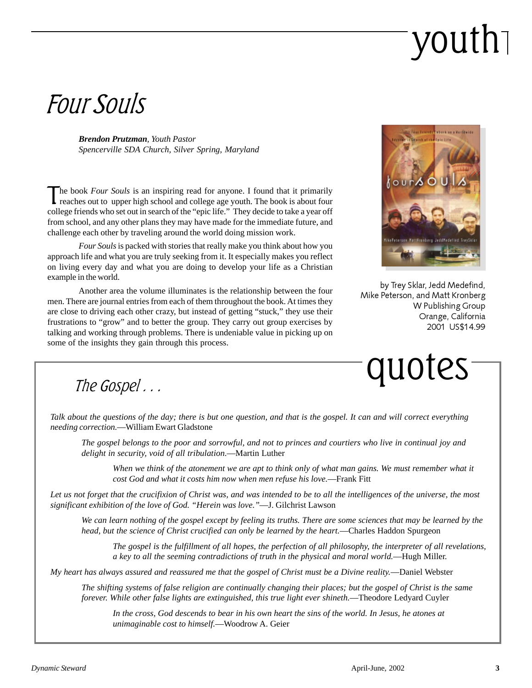# youth

### Four Souls

*Brendon Prutzman, Youth Pastor Spencerville SDA Church, Silver Spring, Maryland*

The book *Four Souls* is an inspiring read for anyone. I found that it primarily reaches out to upper high school and college age youth. The book is about four college friends who set out in search of the "epic life." They decide to take a year off from school, and any other plans they may have made for the immediate future, and challenge each other by traveling around the world doing mission work.

*Four Souls* is packed with stories that really make you think about how you approach life and what you are truly seeking from it. It especially makes you reflect on living every day and what you are doing to develop your life as a Christian example in the world.

Another area the volume illuminates is the relationship between the four men. There are journal entries from each of them throughout the book. At times they are close to driving each other crazy, but instead of getting "stuck," they use their frustrations to "grow" and to better the group. They carry out group exercises by talking and working through problems. There is undeniable value in picking up on some of the insights they gain through this process.



by Trey Sklar, Jedd Medefind, Mike Peterson, and Matt Kronberg W Publishing Group Orange, California 2001 US\$14.99



*Talk about the questions of the day; there is but one question, and that is the gospel. It can and will correct everything needing correction.*—William Ewart Gladstone

*The gospel belongs to the poor and sorrowful, and not to princes and courtiers who live in continual joy and delight in security, void of all tribulation*.—Martin Luther

*When we think of the atonement we are apt to think only of what man gains. We must remember what it cost God and what it costs him now when men refuse his love.*—Frank Fitt

*Let us not forget that the crucifixion of Christ was, and was intended to be to all the intelligences of the universe, the most significant exhibition of the love of God. "Herein was love."*—J. Gilchrist Lawson

*We can learn nothing of the gospel except by feeling its truths. There are some sciences that may be learned by the head, but the science of Christ crucified can only be learned by the heart.*—Charles Haddon Spurgeon

*The gospel is the fulfillment of all hopes, the perfection of all philosophy, the interpreter of all revelations, a key to all the seeming contradictions of truth in the physical and moral world.*—Hugh Miller.

*My heart has always assured and reassured me that the gospel of Christ must be a Divine reality.*—Daniel Webster

*The shifting systems of false religion are continually changing their places; but the gospel of Christ is the same forever. While other false lights are extinguished, this true light ever shineth.*—Theodore Ledyard Cuyler

*In the cross, God descends to bear in his own heart the sins of the world. In Jesus, he atones at unimaginable cost to himself.*—Woodrow A. Geier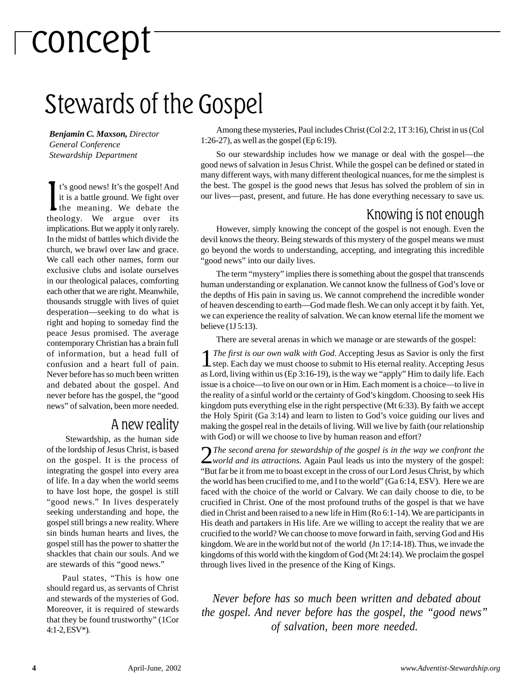# concept

### Stewards of the Gospel

*Benjamin C. Maxson, Director General Conference Stewardship Department*

It's good news! It's the gospel! And<br>it is a battle ground. We fight over<br>the meaning. We debate the<br>theology. We argue over its t's good news! It's the gospel! And it is a battle ground. We fight over the meaning. We debate the implications. But we apply it only rarely. In the midst of battles which divide the church, we brawl over law and grace. We call each other names, form our exclusive clubs and isolate ourselves in our theological palaces, comforting each other that we are right. Meanwhile, thousands struggle with lives of quiet desperation—seeking to do what is right and hoping to someday find the peace Jesus promised. The average contemporary Christian has a brain full of information, but a head full of confusion and a heart full of pain. Never before has so much been written and debated about the gospel. And never before has the gospel, the "good news" of salvation, been more needed.

#### A new reality

 Stewardship, as the human side of the lordship of Jesus Christ, is based on the gospel. It is the process of integrating the gospel into every area of life. In a day when the world seems to have lost hope, the gospel is still "good news." In lives desperately seeking understanding and hope, the gospel still brings a new reality. Where sin binds human hearts and lives, the gospel still has the power to shatter the shackles that chain our souls. And we are stewards of this "good news."

Paul states, "This is how one should regard us, as servants of Christ and stewards of the mysteries of God. Moreover, it is required of stewards that they be found trustworthy" (1Cor 4:1-2, ESV\*).

Among these mysteries, Paul includes Christ (Col 2:2, 1T 3:16), Christ in us (Col 1:26-27), as well as the gospel (Ep 6:19).

So our stewardship includes how we manage or deal with the gospel—the good news of salvation in Jesus Christ. While the gospel can be defined or stated in many different ways, with many different theological nuances, for me the simplest is the best. The gospel is the good news that Jesus has solved the problem of sin in our lives—past, present, and future. He has done everything necessary to save us.

#### Knowing is not enough

However, simply knowing the concept of the gospel is not enough. Even the devil knows the theory. Being stewards of this mystery of the gospel means we must go beyond the words to understanding, accepting, and integrating this incredible "good news" into our daily lives.

The term "mystery" implies there is something about the gospel that transcends human understanding or explanation. We cannot know the fullness of God's love or the depths of His pain in saving us. We cannot comprehend the incredible wonder of heaven descending to earth—God made flesh. We can only accept it by faith. Yet, we can experience the reality of salvation. We can know eternal life the moment we believe (1J 5:13).

There are several arenas in which we manage or are stewards of the gospel:

1*The first is our own walk with God*. Accepting Jesus as Savior is only the first step. Each day we must choose to submit to His eternal reality. Accepting Jesus as Lord, living within us (Ep 3:16-19), is the way we "apply" Him to daily life. Each issue is a choice—to live on our own or in Him. Each moment is a choice—to live in the reality of a sinful world or the certainty of God's kingdom. Choosing to seek His kingdom puts everything else in the right perspective (Mt 6:33). By faith we accept the Holy Spirit (Ga 3:14) and learn to listen to God's voice guiding our lives and making the gospel real in the details of living. Will we live by faith (our relationship with God) or will we choose to live by human reason and effort?

2*The second arena for stewardship of the gospel is in the way we confront the world and its attractions.* Again Paul leads us into the mystery of the gospel: "But far be it from me to boast except in the cross of our Lord Jesus Christ, by which the world has been crucified to me, and I to the world" (Ga 6:14, ESV). Here we are faced with the choice of the world or Calvary. We can daily choose to die, to be crucified in Christ. One of the most profound truths of the gospel is that we have died in Christ and been raised to a new life in Him (Ro 6:1-14). We are participants in His death and partakers in His life. Are we willing to accept the reality that we are crucified to the world? We can choose to move forward in faith, serving God and His kingdom. We are in the world but not of the world (Jn 17:14-18). Thus, we invade the kingdoms of this world with the kingdom of God (Mt 24:14). We proclaim the gospel through lives lived in the presence of the King of Kings.

 *Never before has so much been written and debated about the gospel. And never before has the gospel, the "good news" of salvation, been more needed.*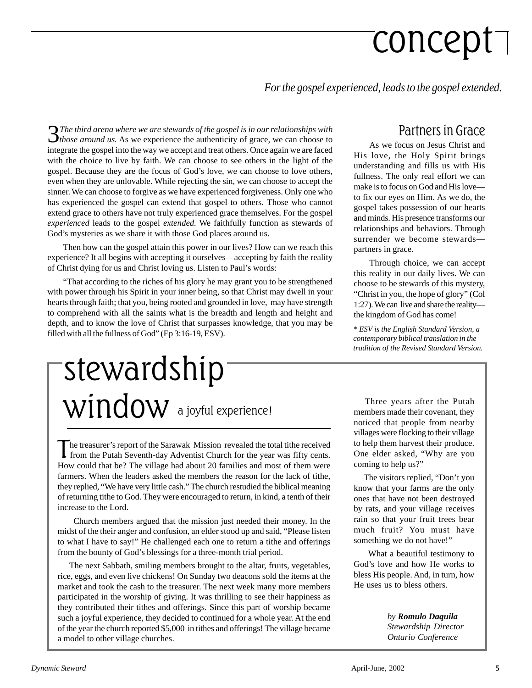# concept

*For the gospel experienced, leads to the gospel extended.*

3*The third arena where we are stewards of the gospel is in our relationships with those around us.* As we experience the authenticity of grace, we can choose to integrate the gospel into the way we accept and treat others. Once again we are faced with the choice to live by faith. We can choose to see others in the light of the gospel. Because they are the focus of God's love, we can choose to love others, even when they are unlovable. While rejecting the sin, we can choose to accept the sinner. We can choose to forgive as we have experienced forgiveness. Only one who has experienced the gospel can extend that gospel to others. Those who cannot extend grace to others have not truly experienced grace themselves. For the gospel *experienced* leads to the gospel *extended.* We faithfully function as stewards of God's mysteries as we share it with those God places around us.

Then how can the gospel attain this power in our lives? How can we reach this experience? It all begins with accepting it ourselves—accepting by faith the reality of Christ dying for us and Christ loving us. Listen to Paul's words:

"That according to the riches of his glory he may grant you to be strengthened with power through his Spirit in your inner being, so that Christ may dwell in your hearts through faith; that you, being rooted and grounded in love, may have strength to comprehend with all the saints what is the breadth and length and height and depth, and to know the love of Christ that surpasses knowledge, that you may be filled with all the fullness of God" (Ep 3:16-19, ESV).

### a joyful experience! stewardship window

The treasurer's report of the Sarawak Mission revealed the total tithe received from the Putah Seventh-day Adventist Church for the year was fifty cents. How could that be? The village had about 20 families and most of them were farmers. When the leaders asked the members the reason for the lack of tithe, they replied, "We have very little cash." The church restudied the biblical meaning of returning tithe to God. They were encouraged to return, in kind, a tenth of their increase to the Lord.

 Church members argued that the mission just needed their money. In the midst of the their anger and confusion, an elder stood up and said, "Please listen to what I have to say!" He challenged each one to return a tithe and offerings from the bounty of God's blessings for a three-month trial period.

 The next Sabbath, smiling members brought to the altar, fruits, vegetables, rice, eggs, and even live chickens! On Sunday two deacons sold the items at the market and took the cash to the treasurer. The next week many more members participated in the worship of giving. It was thrilling to see their happiness as they contributed their tithes and offerings. Since this part of worship became such a joyful experience, they decided to continued for a whole year. At the end of the year the church reported \$5,000 in tithes and offerings! The village became a model to other village churches.

#### Partners in Grace

As we focus on Jesus Christ and His love, the Holy Spirit brings understanding and fills us with His fullness. The only real effort we can make is to focus on God and His love to fix our eyes on Him. As we do, the gospel takes possession of our hearts and minds. His presence transforms our relationships and behaviors. Through surrender we become stewards partners in grace.

Through choice, we can accept this reality in our daily lives. We can choose to be stewards of this mystery, "Christ in you, the hope of glory" (Col 1:27). We can live and share the reality the kingdom of God has come!

*\* ESV is the English Standard Version, a contemporary biblical translation in the tradition of the Revised Standard Version.*

 Three years after the Putah members made their covenant, they noticed that people from nearby villages were flocking to their village to help them harvest their produce. One elder asked, "Why are you coming to help us?"

 The visitors replied, "Don't you know that your farms are the only ones that have not been destroyed by rats, and your village receives rain so that your fruit trees bear much fruit? You must have something we do not have!"

 What a beautiful testimony to God's love and how He works to bless His people. And, in turn, how He uses us to bless others.

> *by Romulo Daquila Stewardship Director Ontario Conference*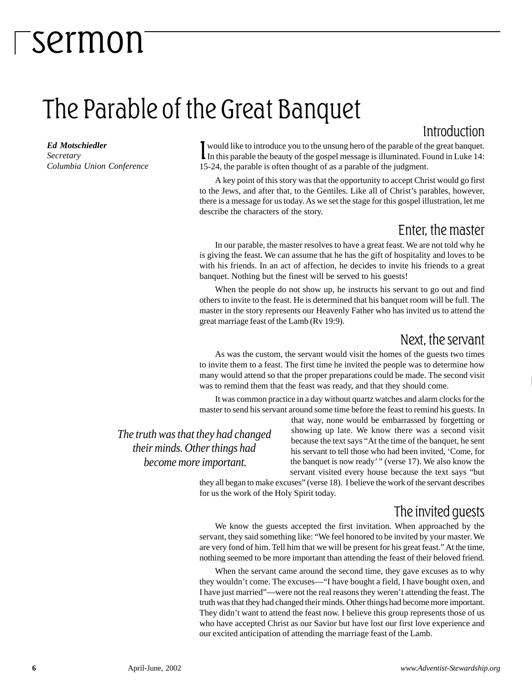### The Parable of the Great Banquet

#### *Ed Motschiedler*

*Secretary Columbia Union Conference* I would like to introduce you to the unsung hero of the parable of the great banquet.<br>In this parable the beauty of the gospel message is illuminated. Found in Luke 14: would like to introduce you to the unsung hero of the parable of the great banquet. 15-24, the parable is often thought of as a parable of the judgment.

A key point of this story was that the opportunity to accept Christ would go first to the Jews, and after that, to the Gentiles. Like all of Christ's parables, however, there is a message for us today. As we set the stage for this gospel illustration, let me describe the characters of the story.

#### Enter, the master

Introduction

In our parable, the master resolves to have a great feast. We are not told why he is giving the feast. We can assume that he has the gift of hospitality and loves to be with his friends. In an act of affection, he decides to invite his friends to a great banquet. Nothing but the finest will be served to his guests!

When the people do not show up, he instructs his servant to go out and find others to invite to the feast. He is determined that his banquet room will be full. The master in the story represents our Heavenly Father who has invited us to attend the great marriage feast of the Lamb (Rv 19:9).

#### Next, the servant

As was the custom, the servant would visit the homes of the guests two times to invite them to a feast. The first time he invited the people was to determine how many would attend so that the proper preparations could be made. The second visit was to remind them that the feast was ready, and that they should come.

It was common practice in a day without quartz watches and alarm clocks for the master to send his servant around some time before the feast to remind his guests. In

*The truth was that they had changed their minds. Other things had become more important.*

that way, none would be embarrassed by forgetting or showing up late. We know there was a second visit because the text says "At the time of the banquet, he sent his servant to tell those who had been invited, 'Come, for the banquet is now ready' " (verse 17). We also know the servant visited every house because the text says "but

they all began to make excuses" (verse 18). I believe the work of the servant describes for us the work of the Holy Spirit today.

#### The invited guests

We know the guests accepted the first invitation. When approached by the servant, they said something like: "We feel honored to be invited by your master. We are very fond of him. Tell him that we will be present for his great feast." At the time, nothing seemed to be more important than attending the feast of their beloved friend.

When the servant came around the second time, they gave excuses as to why they wouldn't come. The excuses—"I have bought a field, I have bought oxen, and I have just married"—were not the real reasons they weren't attending the feast. The truth was that they had changed their minds. Other things had become more important. They didn't want to attend the feast now. I believe this group represents those of us who have accepted Christ as our Savior but have lost our first love experience and our excited anticipation of attending the marriage feast of the Lamb.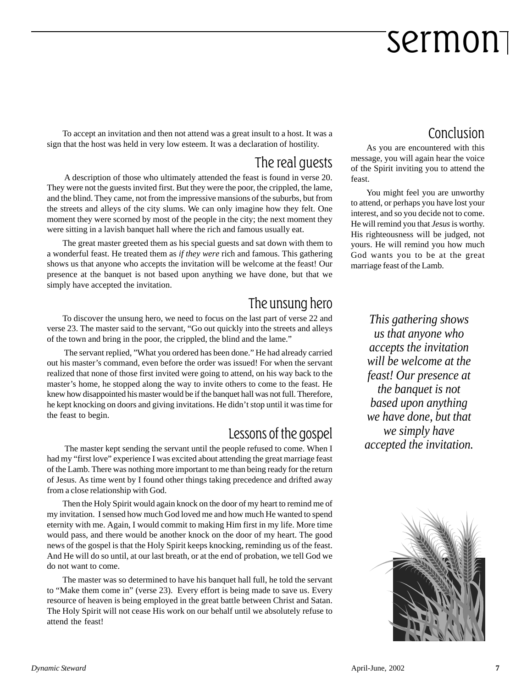To accept an invitation and then not attend was a great insult to a host. It was a sign that the host was held in very low esteem. It was a declaration of hostility.

#### The real guests

 A description of those who ultimately attended the feast is found in verse 20. They were not the guests invited first. But they were the poor, the crippled, the lame, and the blind. They came, not from the impressive mansions of the suburbs, but from the streets and alleys of the city slums. We can only imagine how they felt. One moment they were scorned by most of the people in the city; the next moment they were sitting in a lavish banquet hall where the rich and famous usually eat.

The great master greeted them as his special guests and sat down with them to a wonderful feast. He treated them as *if they were* rich and famous. This gathering shows us that anyone who accepts the invitation will be welcome at the feast! Our presence at the banquet is not based upon anything we have done, but that we simply have accepted the invitation.

#### The unsung hero

To discover the unsung hero, we need to focus on the last part of verse 22 and verse 23. The master said to the servant, "Go out quickly into the streets and alleys of the town and bring in the poor, the crippled, the blind and the lame."

 The servant replied, "What you ordered has been done." He had already carried out his master's command, even before the order was issued! For when the servant realized that none of those first invited were going to attend, on his way back to the master's home, he stopped along the way to invite others to come to the feast. He knew how disappointed his master would be if the banquet hall was not full. Therefore, he kept knocking on doors and giving invitations. He didn't stop until it was time for the feast to begin.

#### Lessons of the gospel

 The master kept sending the servant until the people refused to come. When I had my "first love" experience I was excited about attending the great marriage feast of the Lamb. There was nothing more important to me than being ready for the return of Jesus. As time went by I found other things taking precedence and drifted away from a close relationship with God.

Then the Holy Spirit would again knock on the door of my heart to remind me of my invitation. I sensed how much God loved me and how much He wanted to spend eternity with me. Again, I would commit to making Him first in my life. More time would pass, and there would be another knock on the door of my heart. The good news of the gospel is that the Holy Spirit keeps knocking, reminding us of the feast. And He will do so until, at our last breath, or at the end of probation, we tell God we do not want to come.

The master was so determined to have his banquet hall full, he told the servant to "Make them come in" (verse 23). Every effort is being made to save us. Every resource of heaven is being employed in the great battle between Christ and Satan. The Holy Spirit will not cease His work on our behalf until we absolutely refuse to attend the feast!

#### Conclusion

As you are encountered with this message, you will again hear the voice of the Spirit inviting you to attend the feast.

You might feel you are unworthy to attend, or perhaps you have lost your interest, and so you decide not to come. He will remind you that *Jesus* is worthy. His righteousness will be judged, not yours. He will remind you how much God wants you to be at the great marriage feast of the Lamb.

*This gathering shows us that anyone who accepts the invitation will be welcome at the feast! Our presence at the banquet is not based upon anything we have done, but that we simply have accepted the invitation.*

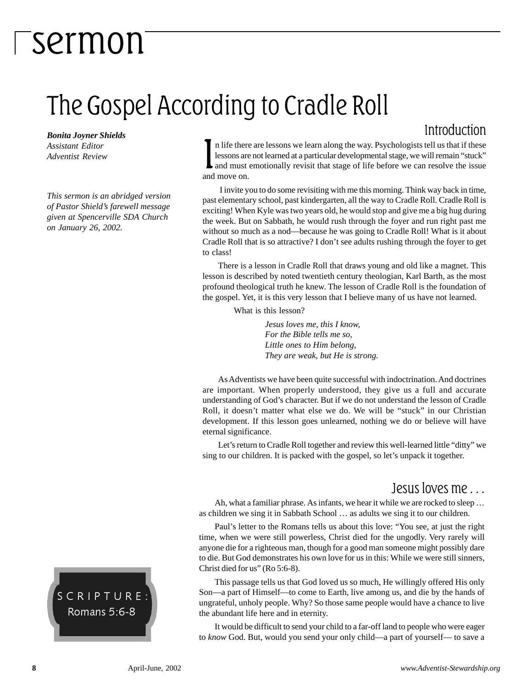### The Gospel According to Cradle Roll

*Bonita Joyner Shields Assistant Editor Adventist Review*

*This sermon is an abridged version of Pastor Shield's farewell message given at Spencerville SDA Church on January 26, 2002.*

#### Introduction

In life there<br>lessons are<br>and must<br>and move on. n life there are lessons we learn along the way. Psychologists tell us that if these lessons are not learned at a particular developmental stage, we will remain "stuck" and must emotionally revisit that stage of life before we can resolve the issue

 I invite you to do some revisiting with me this morning. Think way back in time, past elementary school, past kindergarten, all the way to Cradle Roll. Cradle Roll is exciting! When Kyle was two years old, he would stop and give me a big hug during the week. But on Sabbath, he would rush through the foyer and run right past me without so much as a nod—because he was going to Cradle Roll! What is it about Cradle Roll that is so attractive? I don't see adults rushing through the foyer to get to class!

There is a lesson in Cradle Roll that draws young and old like a magnet. This lesson is described by noted twentieth century theologian, Karl Barth, as the most profound theological truth he knew. The lesson of Cradle Roll is the foundation of the gospel. Yet, it is this very lesson that I believe many of us have not learned.

What is this lesson?

*Jesus loves me, this I know, For the Bible tells me so, Little ones to Him belong, They are weak, but He is strong.*

As Adventists we have been quite successful with indoctrination. And doctrines are important. When properly understood, they give us a full and accurate understanding of God's character. But if we do not understand the lesson of Cradle Roll, it doesn't matter what else we do. We will be "stuck" in our Christian development. If this lesson goes unlearned, nothing we do or believe will have eternal significance.

Let's return to Cradle Roll together and review this well-learned little "ditty" we sing to our children. It is packed with the gospel, so let's unpack it together.

#### Jesus loves me . . .

Ah, what a familiar phrase. As infants, we hear it while we are rocked to sleep … as children we sing it in Sabbath School … as adults we sing it to our children.

Paul's letter to the Romans tells us about this love: "You see, at just the right time, when we were still powerless, Christ died for the ungodly. Very rarely will anyone die for a righteous man, though for a good man someone might possibly dare to die. But God demonstrates his own love for us in this: While we were still sinners, Christ died for us" (Ro 5:6-8).

This passage tells us that God loved us so much, He willingly offered His only Son—a part of Himself—to come to Earth, live among us, and die by the hands of ungrateful, unholy people. Why? So those same people would have a chance to live the abundant life here and in eternity.

It would be difficult to send your child to a far-off land to people who were eager to *know* God. But, would you send your only child—a part of yourself— to save a

SCRIPTURE: Romans 5:6-8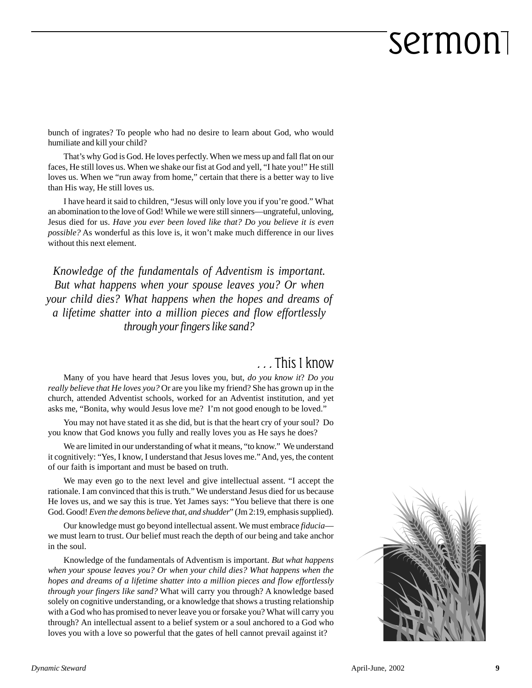bunch of ingrates? To people who had no desire to learn about God, who would humiliate and kill your child?

That's why God is God. He loves perfectly. When we mess up and fall flat on our faces, He still loves us. When we shake our fist at God and yell, "I hate you!" He still loves us. When we "run away from home," certain that there is a better way to live than His way, He still loves us.

I have heard it said to children, "Jesus will only love you if you're good." What an abomination to the love of God! While we were still sinners—ungrateful, unloving, Jesus died for us. *Have you ever been loved like that? Do you believe it is even possible?* As wonderful as this love is, it won't make much difference in our lives without this next element.

*Knowledge of the fundamentals of Adventism is important. But what happens when your spouse leaves you? Or when your child dies? What happens when the hopes and dreams of a lifetime shatter into a million pieces and flow effortlessly through your fingers like sand?*

#### . . . This I know

Many of you have heard that Jesus loves you, but, *do you know it*? *Do you really believe that He loves you?* Or are you like my friend? She has grown up in the church, attended Adventist schools, worked for an Adventist institution, and yet asks me, "Bonita, why would Jesus love me? I'm not good enough to be loved."

You may not have stated it as she did, but is that the heart cry of your soul? Do you know that God knows you fully and really loves you as He says he does?

We are limited in our understanding of what it means, "to know." We understand it cognitively: "Yes, I know, I understand that Jesus loves me." And, yes, the content of our faith is important and must be based on truth.

We may even go to the next level and give intellectual assent. "I accept the rationale. I am convinced that this is truth." We understand Jesus died for us because He loves us, and we say this is true. Yet James says: "You believe that there is one God. Good! *Even the demons believe that, and shudder*" (Jm 2:19, emphasis supplied).

Our knowledge must go beyond intellectual assent. We must embrace *fiducia* we must learn to trust. Our belief must reach the depth of our being and take anchor in the soul.

Knowledge of the fundamentals of Adventism is important. *But what happens when your spouse leaves you? Or when your child dies? What happens when the hopes and dreams of a lifetime shatter into a million pieces and flow effortlessly through your fingers like sand?* What will carry you through? A knowledge based solely on cognitive understanding, or a knowledge that shows a trusting relationship with a God who has promised to never leave you or forsake you? What will carry you through? An intellectual assent to a belief system or a soul anchored to a God who loves you with a love so powerful that the gates of hell cannot prevail against it?

![](_page_8_Picture_12.jpeg)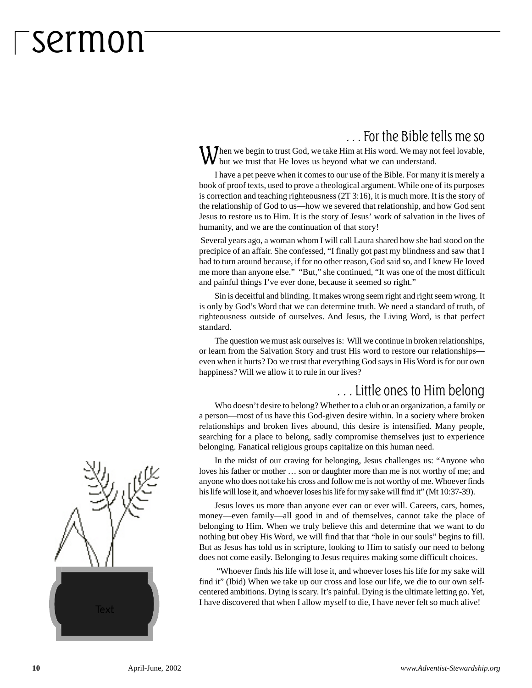#### . . . For the Bible tells me so

When we begin to trust God, we take Him at His word. We may not feel lovable, but we trust that He loves us beyond what we can understand.

I have a pet peeve when it comes to our use of the Bible. For many it is merely a book of proof texts, used to prove a theological argument. While one of its purposes is correction and teaching righteousness (2T 3:16), it is much more. It is the story of the relationship of God to us—how we severed that relationship, and how God sent Jesus to restore us to Him. It is the story of Jesus' work of salvation in the lives of humanity, and we are the continuation of that story!

 Several years ago, a woman whom I will call Laura shared how she had stood on the precipice of an affair. She confessed, "I finally got past my blindness and saw that I had to turn around because, if for no other reason, God said so, and I knew He loved me more than anyone else." "But," she continued, "It was one of the most difficult and painful things I've ever done, because it seemed so right."

Sin is deceitful and blinding. It makes wrong seem right and right seem wrong. It is only by God's Word that we can determine truth. We need a standard of truth, of righteousness outside of ourselves. And Jesus, the Living Word, is that perfect standard.

The question we must ask ourselves is: Will we continue in broken relationships, or learn from the Salvation Story and trust His word to restore our relationships even when it hurts? Do we trust that everything God says in His Word is for our own happiness? Will we allow it to rule in our lives?

#### . . . Little ones to Him belong

Who doesn't desire to belong? Whether to a club or an organization, a family or a person—most of us have this God-given desire within. In a society where broken relationships and broken lives abound, this desire is intensified. Many people, searching for a place to belong, sadly compromise themselves just to experience belonging. Fanatical religious groups capitalize on this human need.

In the midst of our craving for belonging, Jesus challenges us: "Anyone who loves his father or mother … son or daughter more than me is not worthy of me; and anyone who does not take his cross and follow me is not worthy of me. Whoever finds his life will lose it, and whoever loses his life for my sake will find it" (Mt 10:37-39).

Jesus loves us more than anyone ever can or ever will. Careers, cars, homes, money—even family—all good in and of themselves, cannot take the place of belonging to Him. When we truly believe this and determine that we want to do nothing but obey His Word, we will find that that "hole in our souls" begins to fill. But as Jesus has told us in scripture, looking to Him to satisfy our need to belong does not come easily. Belonging to Jesus requires making some difficult choices.

 "Whoever finds his life will lose it, and whoever loses his life for my sake will find it" (Ibid) When we take up our cross and lose our life, we die to our own selfcentered ambitions. Dying is scary. It's painful. Dying is the ultimate letting go. Yet, I have discovered that when I allow myself to die, I have never felt so much alive!

![](_page_9_Picture_12.jpeg)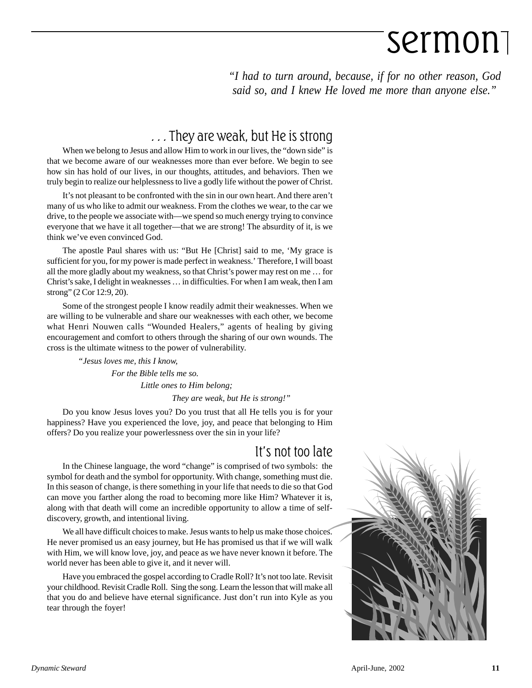*"I had to turn around, because, if for no other reason, God said so, and I knew He loved me more than anyone else."*

#### . . . They are weak, but He is strong

When we belong to Jesus and allow Him to work in our lives, the "down side" is that we become aware of our weaknesses more than ever before. We begin to see how sin has hold of our lives, in our thoughts, attitudes, and behaviors. Then we truly begin to realize our helplessness to live a godly life without the power of Christ.

It's not pleasant to be confronted with the sin in our own heart. And there aren't many of us who like to admit our weakness. From the clothes we wear, to the car we drive, to the people we associate with—we spend so much energy trying to convince everyone that we have it all together—that we are strong! The absurdity of it, is we think we've even convinced God.

The apostle Paul shares with us: "But He [Christ] said to me, 'My grace is sufficient for you, for my power is made perfect in weakness.' Therefore, I will boast all the more gladly about my weakness, so that Christ's power may rest on me … for Christ's sake, I delight in weaknesses … in difficulties. For when I am weak, then I am strong" (2 Cor 12:9, 20).

Some of the strongest people I know readily admit their weaknesses. When we are willing to be vulnerable and share our weaknesses with each other, we become what Henri Nouwen calls "Wounded Healers," agents of healing by giving encouragement and comfort to others through the sharing of our own wounds. The cross is the ultimate witness to the power of vulnerability.

> *"Jesus loves me, this I know, For the Bible tells me so. Little ones to Him belong; They are weak, but He is strong!"*

Do you know Jesus loves you? Do you trust that all He tells you is for your happiness? Have you experienced the love, joy, and peace that belonging to Him offers? Do you realize your powerlessness over the sin in your life?

#### It's not too late

In the Chinese language, the word "change" is comprised of two symbols: the symbol for death and the symbol for opportunity. With change, something must die. In this season of change, is there something in your life that needs to die so that God can move you farther along the road to becoming more like Him? Whatever it is, along with that death will come an incredible opportunity to allow a time of selfdiscovery, growth, and intentional living.

We all have difficult choices to make. Jesus wants to help us make those choices. He never promised us an easy journey, but He has promised us that if we will walk with Him, we will know love, joy, and peace as we have never known it before. The world never has been able to give it, and it never will.

Have you embraced the gospel according to Cradle Roll? It's not too late. Revisit your childhood. Revisit Cradle Roll. Sing the song. Learn the lesson that will make all that you do and believe have eternal significance. Just don't run into Kyle as you tear through the foyer!

![](_page_10_Picture_13.jpeg)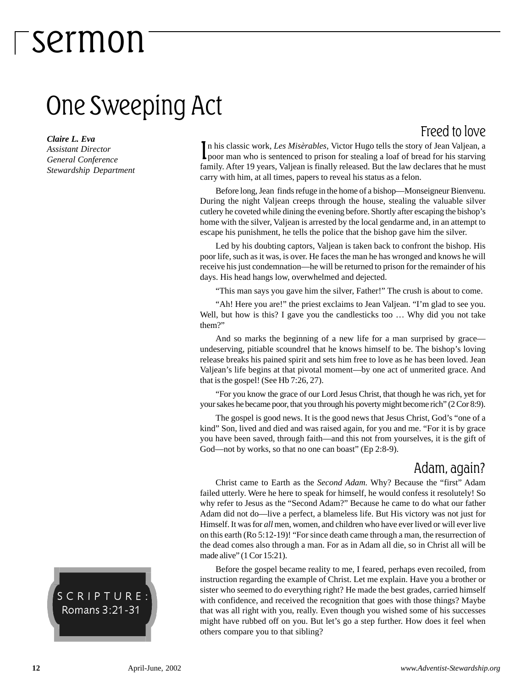### One Sweeping Act

*Claire L. Eva Assistant Director General Conference Stewardship Department*

In his classic work, Les Misèrables, Victor Hugo tells the story of Jean Valjean, a poor man who is sentenced to prison for stealing a loaf of bread for his starving n his classic work, *Les Misèrables,* Victor Hugo tells the story of Jean Valjean, a family. After 19 years, Valjean is finally released. But the law declares that he must carry with him, at all times, papers to reveal his status as a felon.

Before long, Jean finds refuge in the home of a bishop—Monseigneur Bienvenu. During the night Valjean creeps through the house, stealing the valuable silver cutlery he coveted while dining the evening before. Shortly after escaping the bishop's home with the silver, Valjean is arrested by the local gendarme and, in an attempt to escape his punishment, he tells the police that the bishop gave him the silver.

Led by his doubting captors, Valjean is taken back to confront the bishop. His poor life, such as it was, is over. He faces the man he has wronged and knows he will receive his just condemnation—he will be returned to prison for the remainder of his days. His head hangs low, overwhelmed and dejected.

"This man says you gave him the silver, Father!" The crush is about to come.

"Ah! Here you are!" the priest exclaims to Jean Valjean. "I'm glad to see you. Well, but how is this? I gave you the candlesticks too ... Why did you not take them?"

And so marks the beginning of a new life for a man surprised by grace undeserving, pitiable scoundrel that he knows himself to be. The bishop's loving release breaks his pained spirit and sets him free to love as he has been loved. Jean Valjean's life begins at that pivotal moment—by one act of unmerited grace. And that is the gospel! (See Hb 7:26, 27).

"For you know the grace of our Lord Jesus Christ, that though he was rich, yet for your sakes he became poor, that you through his poverty might become rich" (2 Cor 8:9).

The gospel is good news. It is the good news that Jesus Christ, God's "one of a kind" Son, lived and died and was raised again, for you and me. "For it is by grace you have been saved, through faith—and this not from yourselves, it is the gift of God—not by works, so that no one can boast" (Ep 2:8-9).

#### Adam, again?

Freed to love

Christ came to Earth as the *Second Adam.* Why? Because the "first" Adam failed utterly. Were he here to speak for himself, he would confess it resolutely! So why refer to Jesus as the "Second Adam?" Because he came to do what our father Adam did not do—live a perfect, a blameless life. But His victory was not just for Himself. It was for *all* men, women, and children who have ever lived or will ever live on this earth (Ro 5:12-19)! "For since death came through a man, the resurrection of the dead comes also through a man. For as in Adam all die, so in Christ all will be made alive" (1 Cor 15:21).

Before the gospel became reality to me, I feared, perhaps even recoiled, from instruction regarding the example of Christ. Let me explain. Have you a brother or sister who seemed to do everything right? He made the best grades, carried himself with confidence, and received the recognition that goes with those things? Maybe that was all right with you, really. Even though you wished some of his successes might have rubbed off on you. But let's go a step further. How does it feel when others compare you to that sibling?

SCRIPTURE: Romans 3:21-31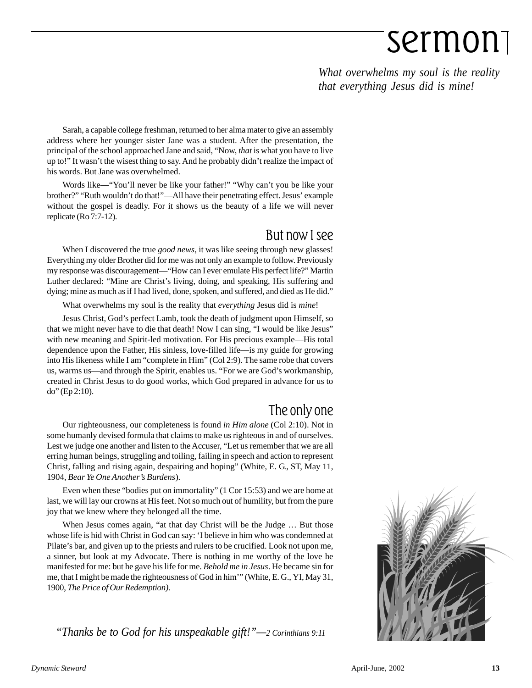*What overwhelms my soul is the reality that everything Jesus did is mine!*

Sarah, a capable college freshman, returned to her alma mater to give an assembly address where her younger sister Jane was a student. After the presentation, the principal of the school approached Jane and said, "Now, *that* is what you have to live up to!" It wasn't the wisest thing to say. And he probably didn't realize the impact of his words. But Jane was overwhelmed.

Words like—"You'll never be like your father!" "Why can't you be like your brother?" "Ruth wouldn't do that!"—All have their penetrating effect. Jesus' example without the gospel is deadly. For it shows us the beauty of a life we will never replicate (Ro 7:7-12).

#### But now I see

When I discovered the true *good news*, it was like seeing through new glasses! Everything my older Brother did for me was not only an example to follow. Previously my response was discouragement—"How can I ever emulate His perfect life?" Martin Luther declared: "Mine are Christ's living, doing, and speaking, His suffering and dying; mine as much as if I had lived, done, spoken, and suffered, and died as He did."

What overwhelms my soul is the reality that *everything* Jesus did is *mine*!

Jesus Christ, God's perfect Lamb, took the death of judgment upon Himself, so that we might never have to die that death! Now I can sing, "I would be like Jesus" with new meaning and Spirit-led motivation. For His precious example—His total dependence upon the Father, His sinless, love-filled life—is my guide for growing into His likeness while I am "complete in Him" (Col 2:9). The same robe that covers us, warms us—and through the Spirit, enables us. "For we are God's workmanship, created in Christ Jesus to do good works, which God prepared in advance for us to do" (Ep 2:10).

#### The only one

Our righteousness, our completeness is found *in Him alone* (Col 2:10). Not in some humanly devised formula that claims to make us righteous in and of ourselves. Lest we judge one another and listen to the Accuser, "Let us remember that we are all erring human beings, struggling and toiling, failing in speech and action to represent Christ, falling and rising again, despairing and hoping" (White, E. G., ST, May 11, 1904, *Bear Ye One Another's Burdens*).

Even when these "bodies put on immortality" (1 Cor 15:53) and we are home at last, we will lay our crowns at His feet. Not so much out of humility, but from the pure joy that we knew where they belonged all the time.

When Jesus comes again, "at that day Christ will be the Judge … But those whose life is hid with Christ in God can say: 'I believe in him who was condemned at Pilate's bar, and given up to the priests and rulers to be crucified. Look not upon me, a sinner, but look at my Advocate. There is nothing in me worthy of the love he manifested for me: but he gave his life for me. *Behold me in Jesus*. He became sin for me, that I might be made the righteousness of God in him'" (White, E. G., YI, May 31, 1900, *The Price of Our Redemption).*

*"Thanks be to God for his unspeakable gift!"—2 Corinthians 9:11*

![](_page_12_Picture_13.jpeg)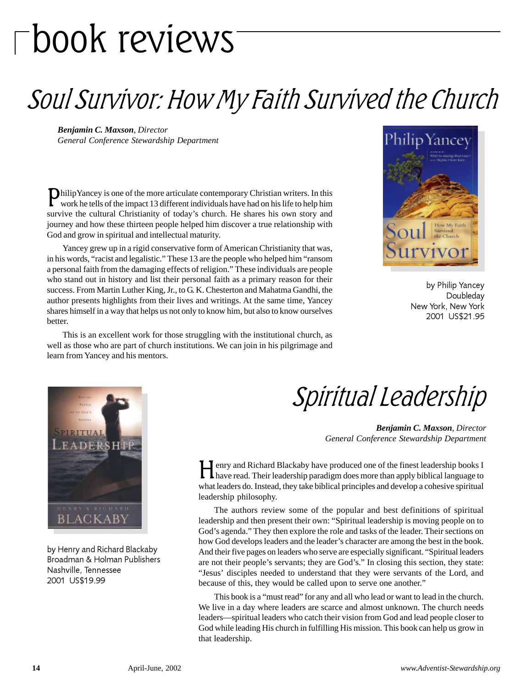# book reviews

### Soul Survivor: How My Faith Survived the Church

*Benjamin C. Maxson, Director General Conference Stewardship Department*

PhilipYancey is one of the more articulate contemporary Christian writers. In this work he tells of the impact 13 different individuals have had on his life to help him survive the cultural Christianity of today's church. He shares his own story and journey and how these thirteen people helped him discover a true relationship with God and grow in spiritual and intellectual maturity.

Yancey grew up in a rigid conservative form of American Christianity that was, in his words, "racist and legalistic." These 13 are the people who helped him "ransom a personal faith from the damaging effects of religion." These individuals are people who stand out in history and list their personal faith as a primary reason for their success. From Martin Luther King, Jr., to G. K. Chesterton and Mahatma Gandhi, the author presents highlights from their lives and writings. At the same time, Yancey shares himself in a way that helps us not only to know him, but also to know ourselves better.

Philip Yance How My Faith

> by Philip Yancey Doubleday New York, New York 2001 US\$21.95

This is an excellent work for those struggling with the institutional church, as well as those who are part of church institutions. We can join in his pilgrimage and learn from Yancey and his mentors.

![](_page_13_Picture_8.jpeg)

by Henry and Richard Blackaby Broadman & Holman Publishers Nashville, Tennessee 2001 US\$19.99

Spiritual Leadership

*Benjamin C. Maxson, Director General Conference Stewardship Department*

Henry and Richard Blackaby have produced one of the finest leadership books I have read. Their leadership paradigm does more than apply biblical language to what leaders do. Instead, they take biblical principles and develop a cohesive spiritual leadership philosophy.

The authors review some of the popular and best definitions of spiritual leadership and then present their own: "Spiritual leadership is moving people on to God's agenda." They then explore the role and tasks of the leader. Their sections on how God develops leaders and the leader's character are among the best in the book. And their five pages on leaders who serve are especially significant. "Spiritual leaders are not their people's servants; they are God's." In closing this section, they state: "Jesus' disciples needed to understand that they were servants of the Lord, and because of this, they would be called upon to serve one another."

This book is a "must read" for any and all who lead or want to lead in the church. We live in a day where leaders are scarce and almost unknown. The church needs leaders—spiritual leaders who catch their vision from God and lead people closer to God while leading His church in fulfilling His mission. This book can help us grow in that leadership.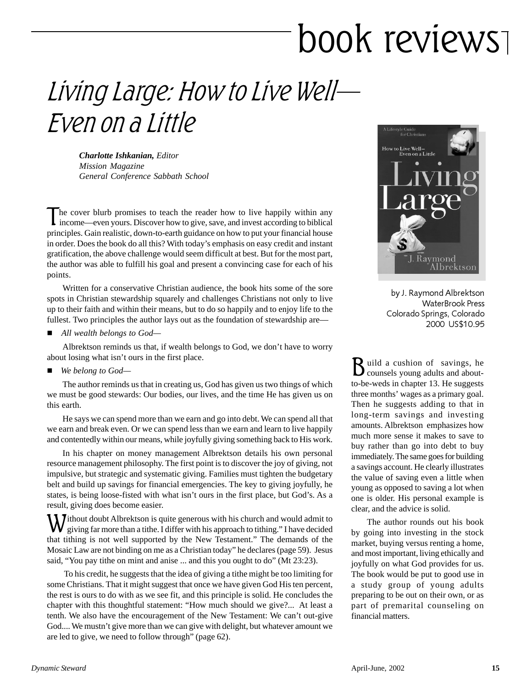# book reviews

### Living Large: How to Live Well— Even on a Little

*Charlotte Ishkanian, Editor Mission Magazine General Conference Sabbath School*

The cover blurb promises to teach the reader how to live happily within any income—even yours. Discover how to give, save, and invest according to biblical principles. Gain realistic, down-to-earth guidance on how to put your financial house in order. Does the book do all this? With today's emphasis on easy credit and instant gratification, the above challenge would seem difficult at best. But for the most part, the author was able to fulfill his goal and present a convincing case for each of his points.

Written for a conservative Christian audience, the book hits some of the sore spots in Christian stewardship squarely and challenges Christians not only to live up to their faith and within their means, but to do so happily and to enjoy life to the fullest. Two principles the author lays out as the foundation of stewardship are—

■ *All wealth belongs to God*—

Albrektson reminds us that, if wealth belongs to God, we don't have to worry about losing what isn't ours in the first place.

*We belong to God—*

The author reminds us that in creating us, God has given us two things of which we must be good stewards: Our bodies, our lives, and the time He has given us on this earth.

He says we can spend more than we earn and go into debt. We can spend all that we earn and break even. Or we can spend less than we earn and learn to live happily and contentedly within our means, while joyfully giving something back to His work.

In his chapter on money management Albrektson details his own personal resource management philosophy. The first point is to discover the joy of giving, not impulsive, but strategic and systematic giving. Families must tighten the budgetary belt and build up savings for financial emergencies. The key to giving joyfully, he states, is being loose-fisted with what isn't ours in the first place, but God's. As a result, giving does become easier.

**J**ithout doubt Albrektson is quite generous with his church and would admit to giving far more than a tithe. I differ with his approach to tithing." I have decided that tithing is not well supported by the New Testament." The demands of the Mosaic Law are not binding on me as a Christian today" he declares (page 59). Jesus said, "You pay tithe on mint and anise ... and this you ought to do" (Mt 23:23).

 To his credit, he suggests that the idea of giving a tithe might be too limiting for some Christians. That it might suggest that once we have given God His ten percent, the rest is ours to do with as we see fit, and this principle is solid. He concludes the chapter with this thoughtful statement: "How much should we give?... At least a tenth. We also have the encouragement of the New Testament: We can't out-give God.... We mustn't give more than we can give with delight, but whatever amount we are led to give, we need to follow through" (page 62).

![](_page_14_Picture_13.jpeg)

by J. Raymond Albrektson WaterBrook Press Colorado Springs, Colorado 2000 US\$10.95

Build a cushion of savings, he counsels young adults and aboutto-be-weds in chapter 13. He suggests three months' wages as a primary goal. Then he suggests adding to that in long-term savings and investing amounts. Albrektson emphasizes how much more sense it makes to save to buy rather than go into debt to buy immediately. The same goes for building a savings account. He clearly illustrates the value of saving even a little when young as opposed to saving a lot when one is older. His personal example is clear, and the advice is solid.

The author rounds out his book by going into investing in the stock market, buying versus renting a home, and most important, living ethically and joyfully on what God provides for us. The book would be put to good use in a study group of young adults preparing to be out on their own, or as part of premarital counseling on financial matters.